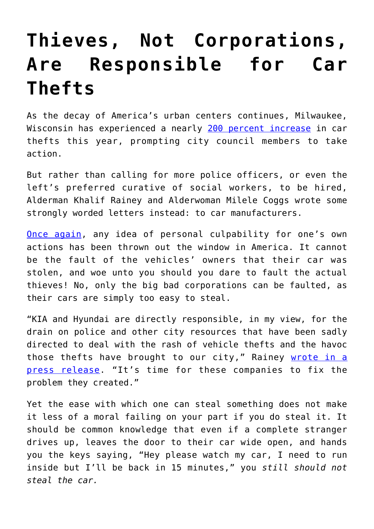## **[Thieves, Not Corporations,](https://intellectualtakeout.org/2021/06/thieves-not-corporations-are-responsible-for-car-thefts/) [Are Responsible for Car](https://intellectualtakeout.org/2021/06/thieves-not-corporations-are-responsible-for-car-thefts/) [Thefts](https://intellectualtakeout.org/2021/06/thieves-not-corporations-are-responsible-for-car-thefts/)**

As the decay of America's urban centers continues, Milwaukee, Wisconsin has experienced a nearly [200 percent increase](https://www.thecentersquare.com/wisconsin/milwaukee-city-council-members-blame-car-companies-for-spike-in-stolen-cars/article_8a91118a-cf86-11eb-acc0-a377db7bb33a.html?fbclid=IwAR0TMQn2yUNL1FaqO-1Sf1nir9oAV0_EF68N1wcsTYlNAfXSGndcLUDFvpg) in car thefts this year, prompting city council members to take action.

But rather than calling for more police officers, or even the left's preferred curative of social workers, to be hired, Alderman Khalif Rainey and Alderwoman Milele Coggs wrote some strongly worded letters instead: to car manufacturers.

[Once again,](https://www.intellectualtakeout.org/free-college-doesn-t-go-far-enough-for-the-left/) any idea of personal culpability for one's own actions has been thrown out the window in America. It cannot be the fault of the vehicles' owners that their car was stolen, and woe unto you should you dare to fault the actual thieves! No, only the big bad corporations can be faulted, as their cars are simply too easy to steal.

"KIA and Hyundai are directly responsible, in my view, for the drain on police and other city resources that have been sadly directed to deal with the rash of vehicle thefts and the havoc those thefts have brought to our city," Rainey [wrote in a](https://city.milwaukee.gov/ImageLibrary/Groups/ccCouncil/News/2021/District-06/COMBINED-KiaandHyundaiaskedtobuildhardertostealvehicles21.pdf) [press release](https://city.milwaukee.gov/ImageLibrary/Groups/ccCouncil/News/2021/District-06/COMBINED-KiaandHyundaiaskedtobuildhardertostealvehicles21.pdf). "It's time for these companies to fix the problem they created."

Yet the ease with which one can steal something does not make it less of a moral failing on your part if you do steal it. It should be common knowledge that even if a complete stranger drives up, leaves the door to their car wide open, and hands you the keys saying, "Hey please watch my car, I need to run inside but I'll be back in 15 minutes," you *still should not steal the car.*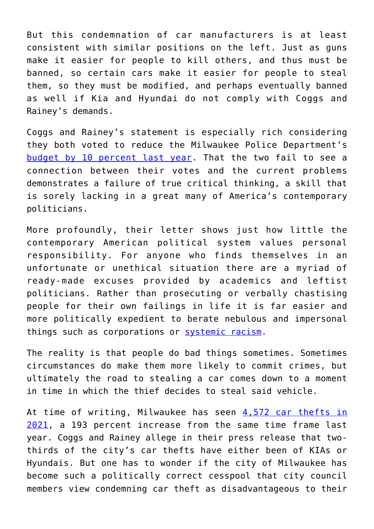But this condemnation of car manufacturers is at least consistent with similar positions on the left. Just as guns make it easier for people to kill others, and thus must be banned, so certain cars make it easier for people to steal them, so they must be modified, and perhaps eventually banned as well if Kia and Hyundai do not comply with Coggs and Rainey's demands.

Coggs and Rainey's statement is especially rich considering they both voted to reduce the Milwaukee Police Department's [budget by 10 percent last year.](https://www.milwaukeemag.com/what-does-defund-the-police-mean-in-milwaukee/) That the two fail to see a connection between their votes and the current problems demonstrates a failure of true critical thinking, a skill that is sorely lacking in a great many of America's contemporary politicians.

More profoundly, their letter shows just how little the contemporary American political system values personal responsibility. For anyone who finds themselves in an unfortunate or unethical situation there are a myriad of ready-made excuses provided by academics and leftist politicians. Rather than prosecuting or verbally chastising people for their own failings in life it is far easier and more politically expedient to berate nebulous and impersonal things such as corporations or [systemic racism](https://www.intellectualtakeout.org/the-systemic-racism-argument-ignores-free-will/).

The reality is that people do bad things sometimes. Sometimes circumstances do make them more likely to commit crimes, but ultimately the road to stealing a car comes down to a moment in time in which the thief decides to steal said vehicle.

At time of writing, Milwaukee has seen [4,572 car thefts in](https://city.milwaukee.gov/police/Information-Services/Crime-Maps-and-Statistics) [2021](https://city.milwaukee.gov/police/Information-Services/Crime-Maps-and-Statistics), a 193 percent increase from the same time frame last year. Coggs and Rainey allege in their press release that twothirds of the city's car thefts have either been of KIAs or Hyundais. But one has to wonder if the city of Milwaukee has become such a politically correct cesspool that city council members view condemning car theft as disadvantageous to their